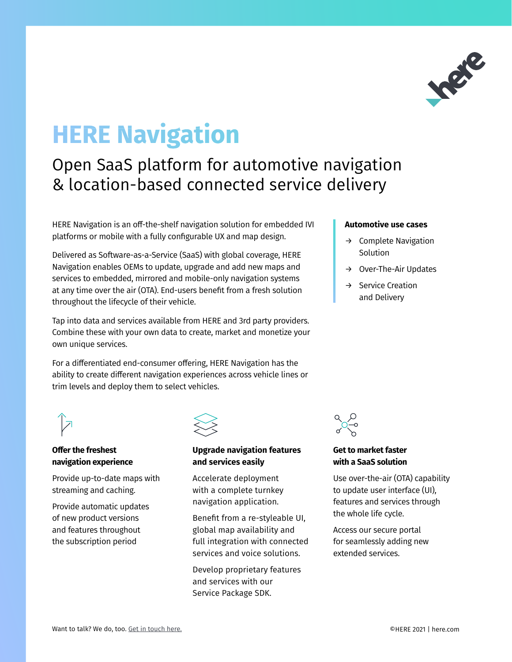

# **HERE Navigation**

## Open SaaS platform for automotive navigation & location-based connected service delivery

HERE Navigation is an off-the-shelf navigation solution for embedded IVI platforms or mobile with a fully configurable UX and map design.

Delivered as Software-as-a-Service (SaaS) with global coverage, HERE Navigation enables OEMs to update, upgrade and add new maps and services to embedded, mirrored and mobile-only navigation systems at any time over the air (OTA). End-users benefit from a fresh solution throughout the lifecycle of their vehicle.

Tap into data and services available from HERE and 3rd party providers. Combine these with your own data to create, market and monetize your own unique services.

For a differentiated end-consumer offering, HERE Navigation has the ability to create different navigation experiences across vehicle lines or trim levels and deploy them to select vehicles.

#### **Automotive use cases**

- $\rightarrow$  Complete Navigation Solution
- $\rightarrow$  Over-The-Air Updates
- Service Creation and Delivery



### **Offer the freshest navigation experience**

Provide up-to-date maps with streaming and caching.

Provide automatic updates of new product versions and features throughout the subscription period



#### **Upgrade navigation features and services easily**

Accelerate deployment with a complete turnkey navigation application.

Benefit from a re-styleable UI, global map availability and full integration with connected services and voice solutions.

Develop proprietary features and services with our Service Package SDK.



#### **Get to market faster with a SaaS solution**

Use over-the-air (OTA) capability to update user interface (UI), features and services through the whole life cycle.

Access our secure portal for seamlessly adding new extended services.